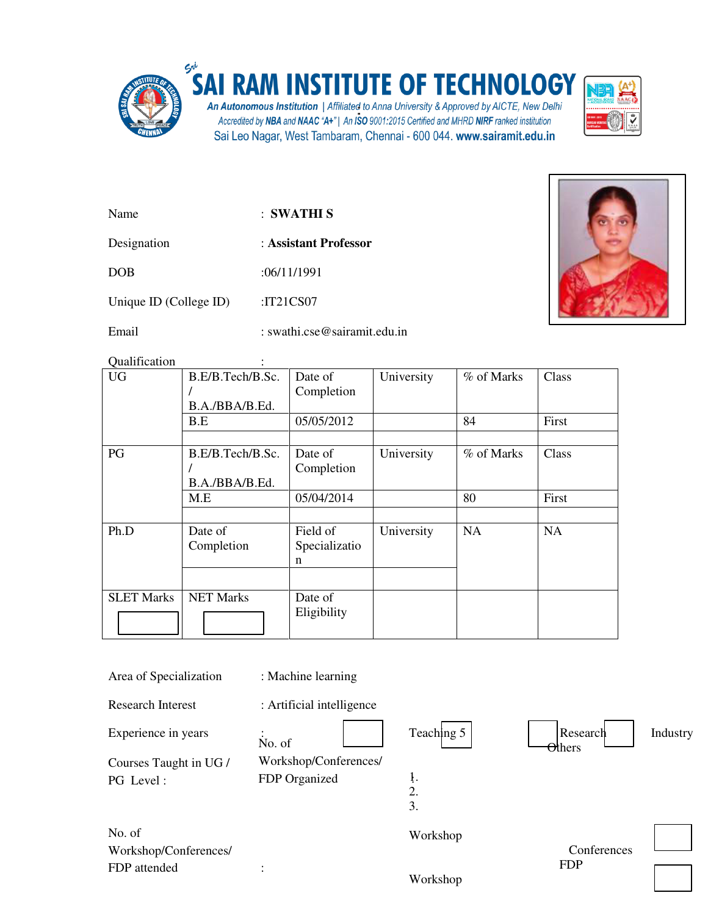

## SAI RAM INSTITUTE OF TECHNOLOGY

An Autonomous Institution | Affiliated to Anna University & Approved by AICTE, New Delhi<br>Accredited by NBA and NAAC "A+"| An ISO 9001:2015 Certified and MHRD NIRF ranked institution Sai Leo Nagar, West Tambaram, Chennai - 600 044. www.sairamit.edu.in



| Name                   | : SWATHI S            |
|------------------------|-----------------------|
| Designation            | : Assistant Professor |
| <b>DOB</b>             | :06/11/1991           |
| Unique ID (College ID) | : $IT21CS07$          |



Email : swathi.cse@sairamit.edu.in

Qualification :

| <b>UG</b>         | B.E/B.Tech/B.Sc.<br>B.A./BBA/B.Ed. | Date of<br>Completion          | University | % of Marks | Class     |
|-------------------|------------------------------------|--------------------------------|------------|------------|-----------|
|                   | B.E                                | 05/05/2012                     |            | 84         | First     |
|                   |                                    |                                |            |            |           |
| PG                | B.E/B.Tech/B.Sc.<br>B.A./BBA/B.Ed. | Date of<br>Completion          | University | % of Marks | Class     |
|                   | M.E                                | 05/04/2014                     |            | 80         | First     |
|                   |                                    |                                |            |            |           |
| Ph.D              | Date of<br>Completion              | Field of<br>Specializatio<br>n | University | <b>NA</b>  | <b>NA</b> |
|                   |                                    |                                |            |            |           |
| <b>SLET Marks</b> | <b>NET Marks</b>                   | Date of<br>Eligibility         |            |            |           |

| Area of Specialization   | : Machine learning        |                        |                            |          |
|--------------------------|---------------------------|------------------------|----------------------------|----------|
| <b>Research Interest</b> | : Artificial intelligence |                        |                            |          |
| Experience in years      | No. of                    | Teaching $5$           | Research<br>$\Theta$ thers | Industry |
| Courses Taught in UG /   | Workshop/Conferences/     |                        |                            |          |
| PG Level:                | FDP Organized             | ļ.                     |                            |          |
|                          |                           | $\overline{2}$ .<br>3. |                            |          |
|                          |                           |                        |                            |          |
| No. of                   |                           | Workshop               |                            |          |
| Workshop/Conferences/    |                           |                        | Conferences                |          |
| FDP attended             | ٠                         |                        | <b>FDP</b>                 |          |
|                          |                           | Workshop               |                            |          |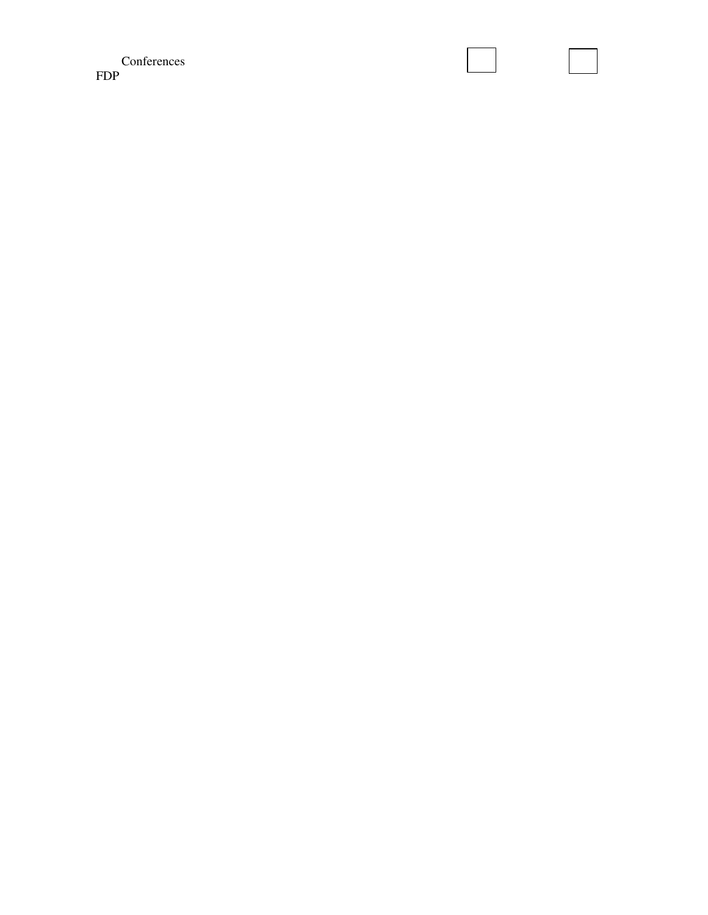Conferences FDP